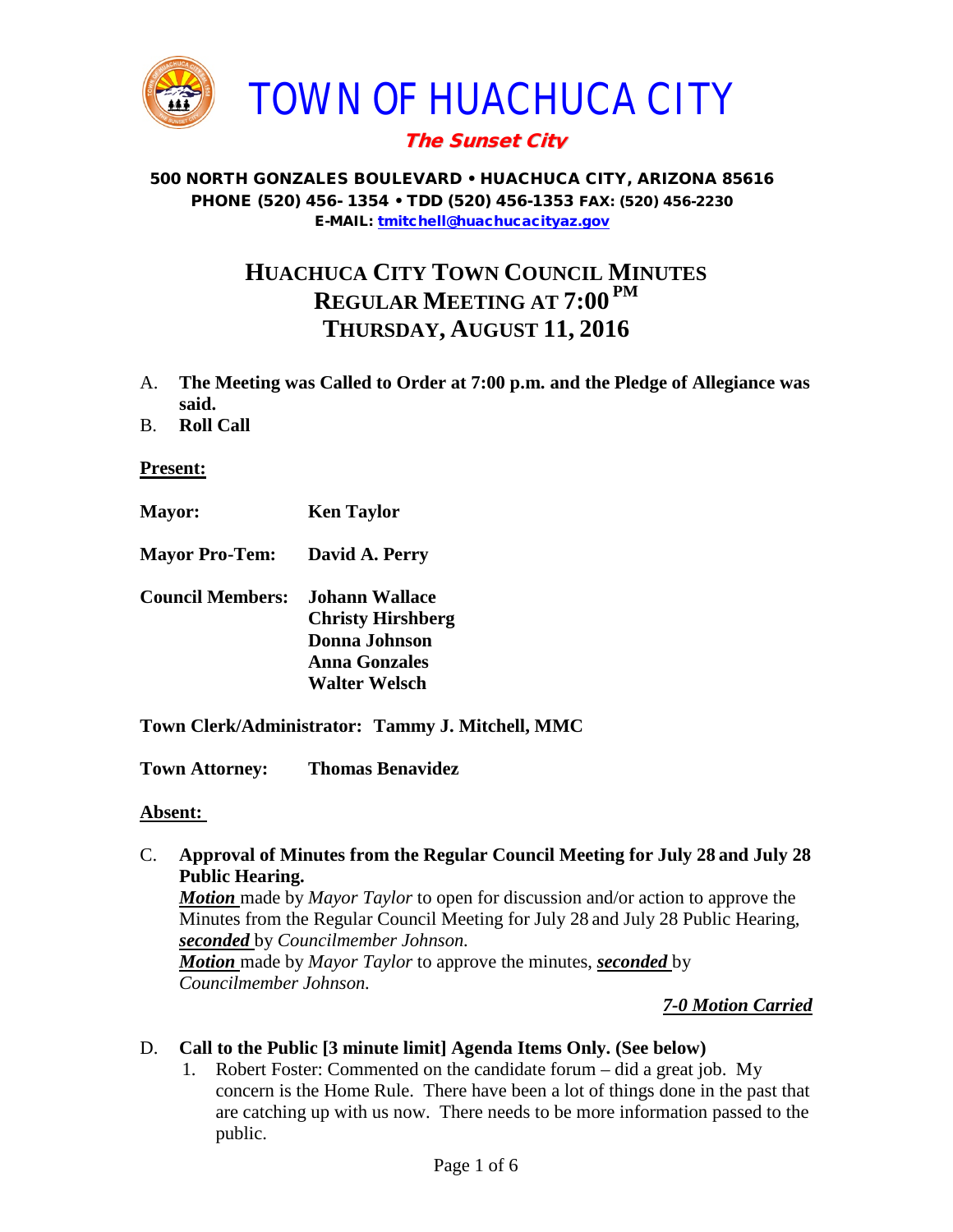

# The Sunset City

#### 500 NORTH GONZALES BOULEVARD • HUACHUCA CITY, ARIZONA 85616 PHONE (520) 456- 1354 • TDD (520) 456-1353 FAX: (520) 456-2230 E-MAIL: [tmitchell@huachucacityaz.gov](mailto:tmitchell@huachucacityaz.gov)

# **HUACHUCA CITY TOWN COUNCIL MINUTES REGULAR MEETING AT 7:00 PM THURSDAY, AUGUST 11, 2016**

- A. **The Meeting was Called to Order at 7:00 p.m. and the Pledge of Allegiance was said.**
- B. **Roll Call**

## **Present:**

- **Mayor: Ken Taylor**
- **Mayor Pro-Tem: David A. Perry**
- **Council Members: Johann Wallace Christy Hirshberg Donna Johnson Anna Gonzales Walter Welsch**
- **Town Clerk/Administrator: Tammy J. Mitchell, MMC**

**Town Attorney: Thomas Benavidez**

#### **Absent:**

## C. **Approval of Minutes from the Regular Council Meeting for July 28 and July 28 Public Hearing.**

*Motion* made by *Mayor Taylor* to open for discussion and/or action to approve the Minutes from the Regular Council Meeting for July 28 and July 28 Public Hearing, *seconded* by *Councilmember Johnson.*

*Motion* made by *Mayor Taylor* to approve the minutes, *seconded* by *Councilmember Johnson.*

## *7-0 Motion Carried*

#### D. **Call to the Public [3 minute limit] Agenda Items Only. (See below)**

1. Robert Foster: Commented on the candidate forum – did a great job. My concern is the Home Rule. There have been a lot of things done in the past that are catching up with us now. There needs to be more information passed to the public.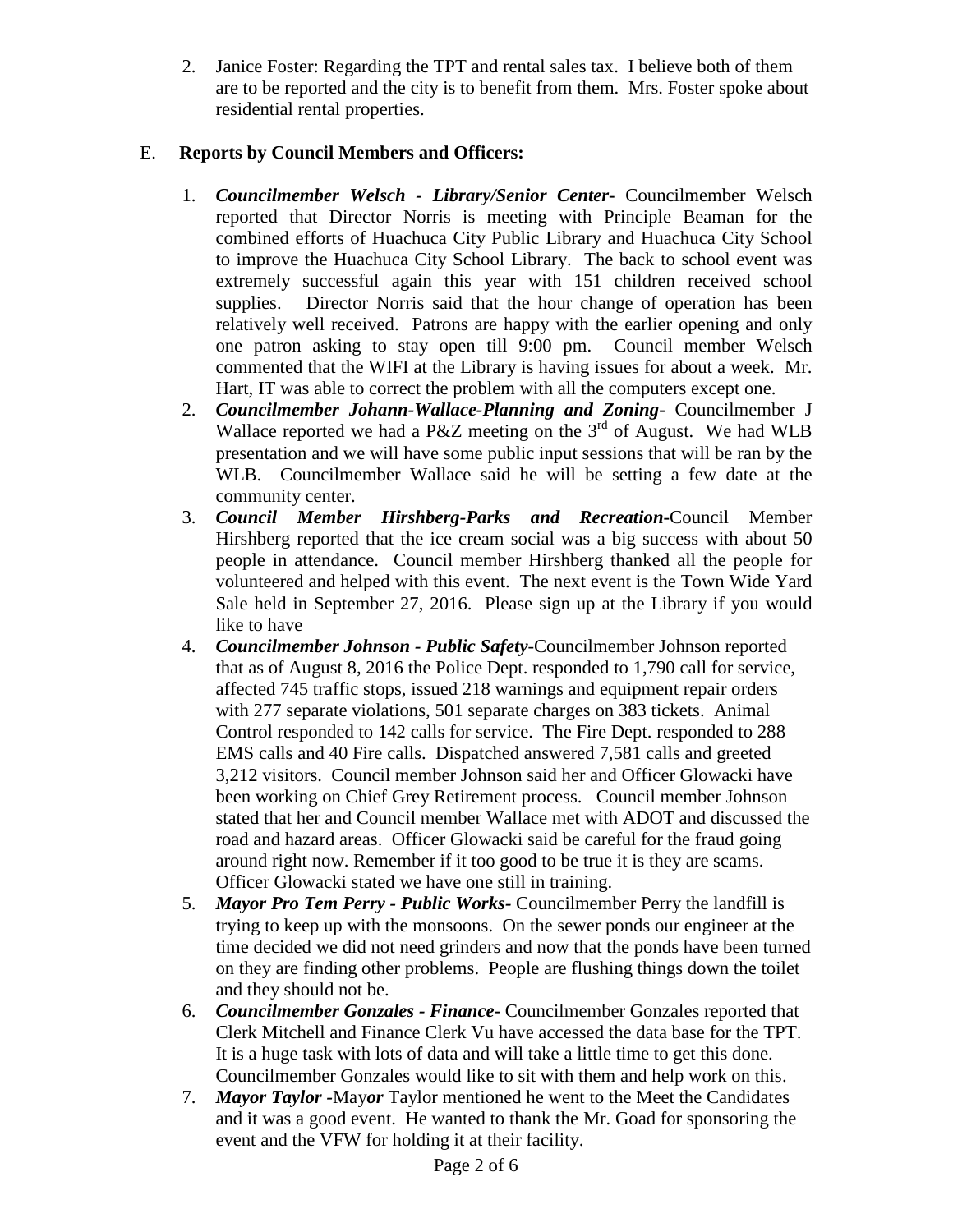2. Janice Foster: Regarding the TPT and rental sales tax. I believe both of them are to be reported and the city is to benefit from them. Mrs. Foster spoke about residential rental properties.

# E. **Reports by Council Members and Officers:**

- 1. *Councilmember Welsch - Library/Senior Center***-** Councilmember Welsch reported that Director Norris is meeting with Principle Beaman for the combined efforts of Huachuca City Public Library and Huachuca City School to improve the Huachuca City School Library. The back to school event was extremely successful again this year with 151 children received school supplies. Director Norris said that the hour change of operation has been relatively well received. Patrons are happy with the earlier opening and only one patron asking to stay open till 9:00 pm. Council member Welsch commented that the WIFI at the Library is having issues for about a week. Mr. Hart, IT was able to correct the problem with all the computers except one.
- 2. *Councilmember Johann-Wallace-Planning and Zoning***-** Councilmember J Wallace reported we had a P&Z meeting on the  $3<sup>rd</sup>$  of August. We had WLB presentation and we will have some public input sessions that will be ran by the WLB. Councilmember Wallace said he will be setting a few date at the community center.
- 3. *Council Member Hirshberg-Parks and Recreation***-**Council Member Hirshberg reported that the ice cream social was a big success with about 50 people in attendance. Council member Hirshberg thanked all the people for volunteered and helped with this event. The next event is the Town Wide Yard Sale held in September 27, 2016. Please sign up at the Library if you would like to have
- 4. *Councilmember Johnson - Public Safety-*Councilmember Johnson reported that as of August 8, 2016 the Police Dept. responded to 1,790 call for service, affected 745 traffic stops, issued 218 warnings and equipment repair orders with 277 separate violations, 501 separate charges on 383 tickets. Animal Control responded to 142 calls for service. The Fire Dept. responded to 288 EMS calls and 40 Fire calls. Dispatched answered 7,581 calls and greeted 3,212 visitors. Council member Johnson said her and Officer Glowacki have been working on Chief Grey Retirement process. Council member Johnson stated that her and Council member Wallace met with ADOT and discussed the road and hazard areas. Officer Glowacki said be careful for the fraud going around right now. Remember if it too good to be true it is they are scams. Officer Glowacki stated we have one still in training.
- 5. *Mayor Pro Tem Perry - Public Works-* Councilmember Perry the landfill is trying to keep up with the monsoons. On the sewer ponds our engineer at the time decided we did not need grinders and now that the ponds have been turned on they are finding other problems. People are flushing things down the toilet and they should not be.
- 6. *Councilmember Gonzales - Finance-* Councilmember Gonzales reported that Clerk Mitchell and Finance Clerk Vu have accessed the data base for the TPT. It is a huge task with lots of data and will take a little time to get this done. Councilmember Gonzales would like to sit with them and help work on this.
- 7. *Mayor Taylor -*May*or* Taylor mentioned he went to the Meet the Candidates and it was a good event. He wanted to thank the Mr. Goad for sponsoring the event and the VFW for holding it at their facility.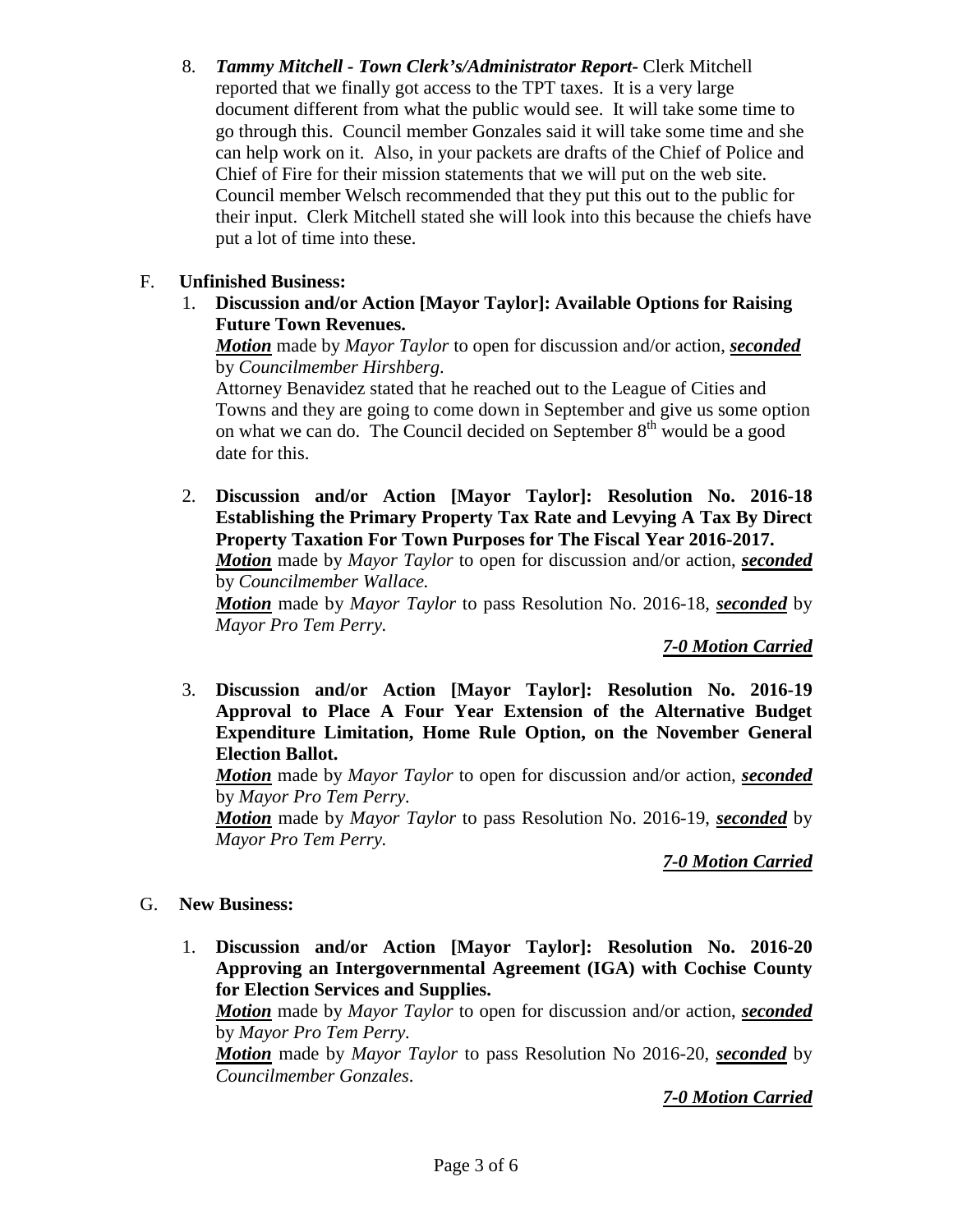8. *Tammy Mitchell - Town Clerk's/Administrator Report-* Clerk Mitchell reported that we finally got access to the TPT taxes. It is a very large document different from what the public would see. It will take some time to go through this. Council member Gonzales said it will take some time and she can help work on it. Also, in your packets are drafts of the Chief of Police and Chief of Fire for their mission statements that we will put on the web site. Council member Welsch recommended that they put this out to the public for their input. Clerk Mitchell stated she will look into this because the chiefs have put a lot of time into these.

# F. **Unfinished Business:**

1. **Discussion and/or Action [Mayor Taylor]: Available Options for Raising Future Town Revenues.** 

*Motion* made by *Mayor Taylor* to open for discussion and/or action, *seconded* by *Councilmember Hirshberg*.

Attorney Benavidez stated that he reached out to the League of Cities and Towns and they are going to come down in September and give us some option on what we can do. The Council decided on September  $8<sup>th</sup>$  would be a good date for this.

2. **Discussion and/or Action [Mayor Taylor]: Resolution No. 2016-18 Establishing the Primary Property Tax Rate and Levying A Tax By Direct Property Taxation For Town Purposes for The Fiscal Year 2016-2017.**

*Motion* made by *Mayor Taylor* to open for discussion and/or action, *seconded* by *Councilmember Wallace.*

*Motion* made by *Mayor Taylor* to pass Resolution No. 2016-18, *seconded* by *Mayor Pro Tem Perry.*

*7-0 Motion Carried*

3. **Discussion and/or Action [Mayor Taylor]: Resolution No. 2016-19 Approval to Place A Four Year Extension of the Alternative Budget Expenditure Limitation, Home Rule Option, on the November General Election Ballot.**

*Motion* made by *Mayor Taylor* to open for discussion and/or action, *seconded* by *Mayor Pro Tem Perry.*

*Motion* made by *Mayor Taylor* to pass Resolution No. 2016-19, *seconded* by *Mayor Pro Tem Perry.*

*7-0 Motion Carried*

## G. **New Business:**

1. **Discussion and/or Action [Mayor Taylor]: Resolution No. 2016-20 Approving an Intergovernmental Agreement (IGA) with Cochise County for Election Services and Supplies.**

*Motion* made by *Mayor Taylor* to open for discussion and/or action, *seconded* by *Mayor Pro Tem Perry.*

*Motion* made by *Mayor Taylor* to pass Resolution No 2016-20, *seconded* by *Councilmember Gonzales*.

*7-0 Motion Carried*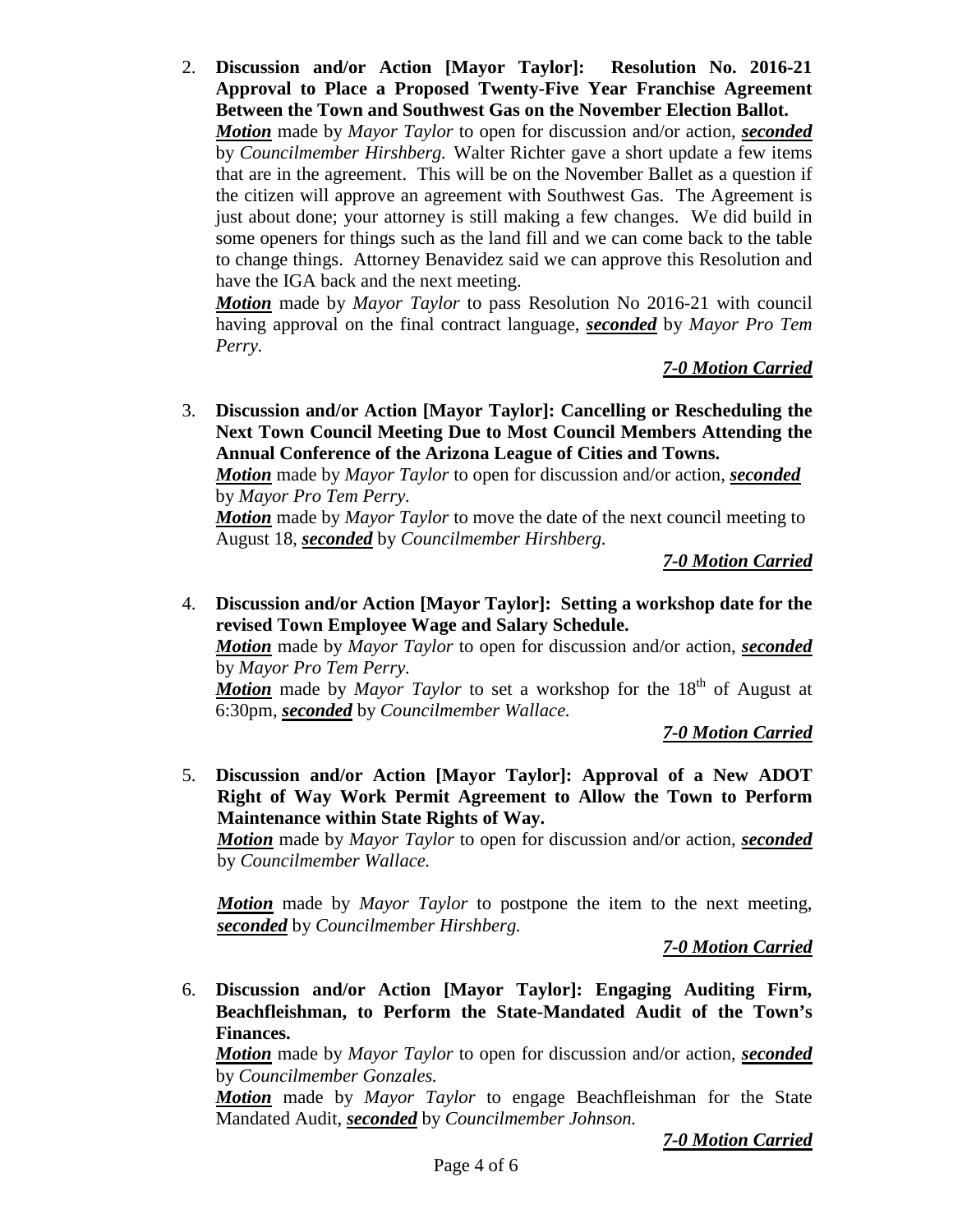2. **Discussion and/or Action [Mayor Taylor]: Resolution No. 2016-21 Approval to Place a Proposed Twenty-Five Year Franchise Agreement Between the Town and Southwest Gas on the November Election Ballot.**  *Motion* made by *Mayor Taylor* to open for discussion and/or action, *seconded* by *Councilmember Hirshberg.* Walter Richter gave a short update a few items that are in the agreement. This will be on the November Ballet as a question if the citizen will approve an agreement with Southwest Gas. The Agreement is just about done; your attorney is still making a few changes. We did build in some openers for things such as the land fill and we can come back to the table to change things. Attorney Benavidez said we can approve this Resolution and have the IGA back and the next meeting.

*Motion* made by *Mayor Taylor* to pass Resolution No 2016-21 with council having approval on the final contract language, *seconded* by *Mayor Pro Tem Perry.*

*7-0 Motion Carried*

3. **Discussion and/or Action [Mayor Taylor]: Cancelling or Rescheduling the Next Town Council Meeting Due to Most Council Members Attending the Annual Conference of the Arizona League of Cities and Towns.** 

*Motion* made by *Mayor Taylor* to open for discussion and/or action, *seconded* by *Mayor Pro Tem Perry.*

*Motion* made by *Mayor Taylor* to move the date of the next council meeting to August 18, *seconded* by *Councilmember Hirshberg.*

*7-0 Motion Carried*

4. **Discussion and/or Action [Mayor Taylor]: Setting a workshop date for the revised Town Employee Wage and Salary Schedule.**

*Motion* made by *Mayor Taylor* to open for discussion and/or action, *seconded* by *Mayor Pro Tem Perry.*

*Motion* made by *Mayor Taylor* to set a workshop for the 18<sup>th</sup> of August at 6:30pm, *seconded* by *Councilmember Wallace.*

*7-0 Motion Carried*

5. **Discussion and/or Action [Mayor Taylor]: Approval of a New ADOT Right of Way Work Permit Agreement to Allow the Town to Perform Maintenance within State Rights of Way.** 

*Motion* made by *Mayor Taylor* to open for discussion and/or action, *seconded* by *Councilmember Wallace.*

*Motion* made by *Mayor Taylor* to postpone the item to the next meeting, *seconded* by *Councilmember Hirshberg.*

*7-0 Motion Carried*

6. **Discussion and/or Action [Mayor Taylor]: Engaging Auditing Firm, Beachfleishman, to Perform the State-Mandated Audit of the Town's Finances.**

*Motion* made by *Mayor Taylor* to open for discussion and/or action, *seconded* by *Councilmember Gonzales.*

*Motion* made by *Mayor Taylor* to engage Beachfleishman for the State Mandated Audit, *seconded* by *Councilmember Johnson.*

*7-0 Motion Carried*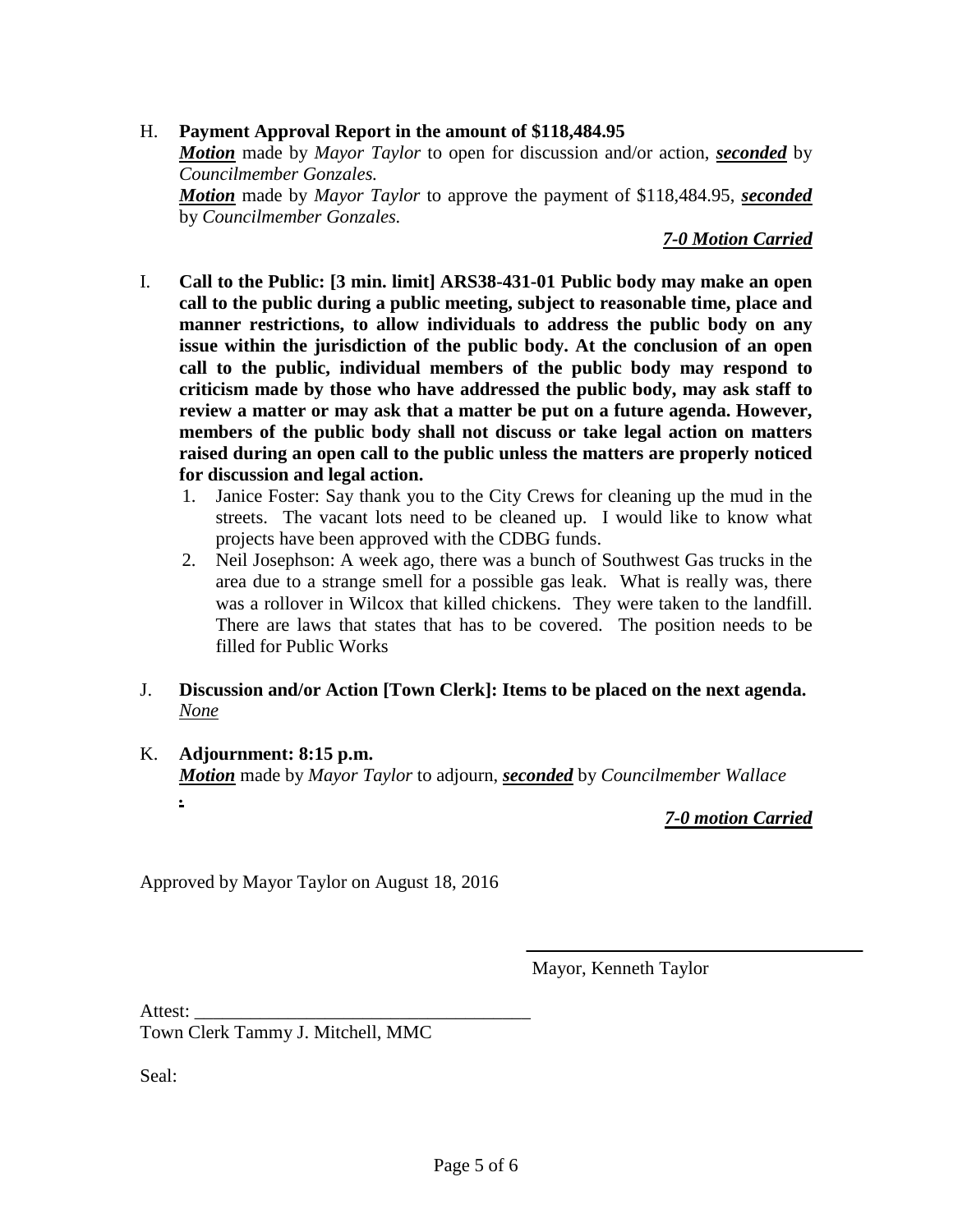## H. **Payment Approval Report in the amount of \$118,484.95**

*Motion* made by *Mayor Taylor* to open for discussion and/or action, *seconded* by *Councilmember Gonzales.*

*Motion* made by *Mayor Taylor* to approve the payment of \$118,484.95, *seconded* by *Councilmember Gonzales.*

*7-0 Motion Carried*

- I. **Call to the Public: [3 min. limit] ARS38-431-01 Public body may make an open call to the public during a public meeting, subject to reasonable time, place and manner restrictions, to allow individuals to address the public body on any issue within the jurisdiction of the public body. At the conclusion of an open call to the public, individual members of the public body may respond to criticism made by those who have addressed the public body, may ask staff to review a matter or may ask that a matter be put on a future agenda. However, members of the public body shall not discuss or take legal action on matters raised during an open call to the public unless the matters are properly noticed for discussion and legal action.**
	- 1. Janice Foster: Say thank you to the City Crews for cleaning up the mud in the streets. The vacant lots need to be cleaned up. I would like to know what projects have been approved with the CDBG funds.
	- 2. Neil Josephson: A week ago, there was a bunch of Southwest Gas trucks in the area due to a strange smell for a possible gas leak. What is really was, there was a rollover in Wilcox that killed chickens. They were taken to the landfill. There are laws that states that has to be covered. The position needs to be filled for Public Works
- J. **Discussion and/or Action [Town Clerk]: Items to be placed on the next agenda.** *None*

#### K. **Adjournment: 8:15 p.m.** *Motion* made by *Mayor Taylor* to adjourn, *seconded* by *Councilmember Wallace*

 *7-0 motion Carried*

Approved by Mayor Taylor on August 18, 2016

Mayor, Kenneth Taylor

Attest:

*.* 

Town Clerk Tammy J. Mitchell, MMC

Seal: